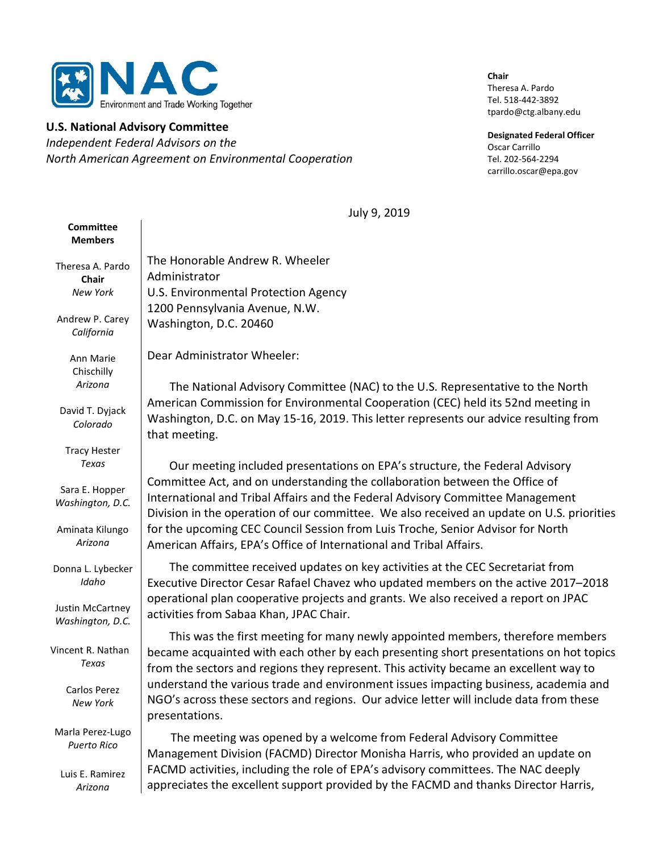

#### U.S. National Advisory Committee

Independent Federal Advisors on the North American Agreement on Environmental Cooperation

Chair Theresa A. Pardo Tel. 518-442-3892 tpardo@ctg.albany.edu

Designated Federal Officer Oscar Carrillo Tel. 202-564-2294 carrillo.oscar@epa.gov

July 9, 2019

| Committee<br><b>Members</b>                 |                                                                                                                                                                                                                                                                                                                                           |
|---------------------------------------------|-------------------------------------------------------------------------------------------------------------------------------------------------------------------------------------------------------------------------------------------------------------------------------------------------------------------------------------------|
| Theresa A. Pardo<br><b>Chair</b>            | The Honorable Andrew R. Wheeler<br>Administrator                                                                                                                                                                                                                                                                                          |
| New York                                    | U.S. Environmental Protection Agency                                                                                                                                                                                                                                                                                                      |
| Andrew P. Carey<br>California               | 1200 Pennsylvania Avenue, N.W.<br>Washington, D.C. 20460                                                                                                                                                                                                                                                                                  |
| Ann Marie<br>Chischilly                     | Dear Administrator Wheeler:                                                                                                                                                                                                                                                                                                               |
| Arizona                                     | The National Advisory Committee (NAC) to the U.S. Representative to the North                                                                                                                                                                                                                                                             |
| David T. Dyjack<br>Colorado                 | American Commission for Environmental Cooperation (CEC) held its 52nd meeting in<br>Washington, D.C. on May 15-16, 2019. This letter represents our advice resulting from<br>that meeting.                                                                                                                                                |
| <b>Tracy Hester</b>                         |                                                                                                                                                                                                                                                                                                                                           |
| Texas<br>Sara E. Hopper<br>Washington, D.C. | Our meeting included presentations on EPA's structure, the Federal Advisory<br>Committee Act, and on understanding the collaboration between the Office of<br>International and Tribal Affairs and the Federal Advisory Committee Management<br>Division in the operation of our committee. We also received an update on U.S. priorities |
| Aminata Kilungo<br>Arizona                  | for the upcoming CEC Council Session from Luis Troche, Senior Advisor for North<br>American Affairs, EPA's Office of International and Tribal Affairs.                                                                                                                                                                                    |
| Donna L. Lybecker<br>Idaho                  | The committee received updates on key activities at the CEC Secretariat from<br>Executive Director Cesar Rafael Chavez who updated members on the active 2017-2018                                                                                                                                                                        |
| Justin McCartney<br>Washington, D.C.        | operational plan cooperative projects and grants. We also received a report on JPAC<br>activities from Sabaa Khan, JPAC Chair.                                                                                                                                                                                                            |
| Vincent R. Nathan<br>Texas                  | This was the first meeting for many newly appointed members, therefore members<br>became acquainted with each other by each presenting short presentations on hot topics<br>from the sectors and regions they represent. This activity became an excellent way to                                                                         |
| Carlos Perez<br>New York                    | understand the various trade and environment issues impacting business, academia and<br>NGO's across these sectors and regions. Our advice letter will include data from these<br>presentations.                                                                                                                                          |
| Marla Perez-Lugo<br><b>Puerto Rico</b>      | The meeting was opened by a welcome from Federal Advisory Committee<br>Management Division (FACMD) Director Monisha Harris, who provided an update on                                                                                                                                                                                     |
| Luis E. Ramirez<br>Arizona                  | FACMD activities, including the role of EPA's advisory committees. The NAC deeply<br>appreciates the excellent support provided by the FACMD and thanks Director Harris,                                                                                                                                                                  |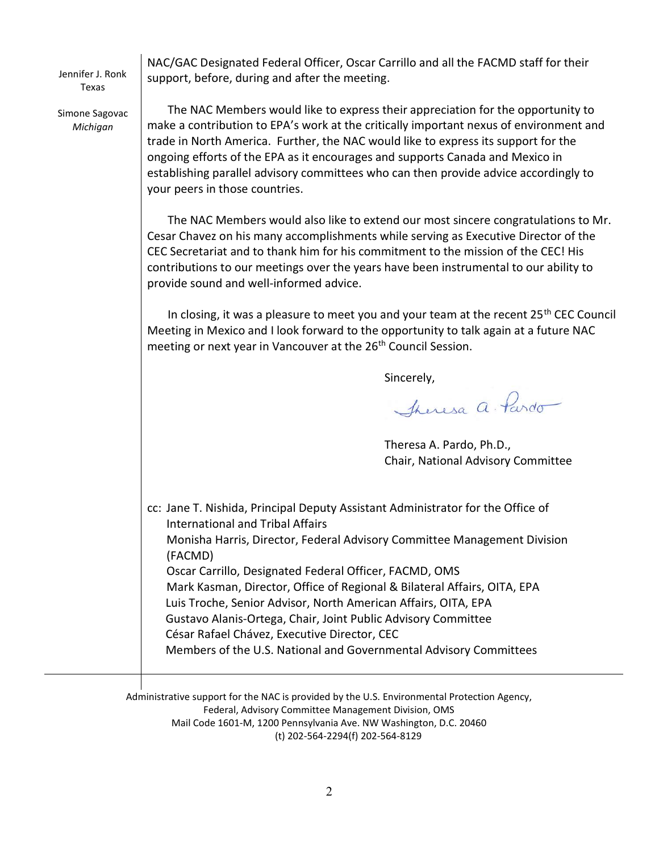Jennifer J. Ronk Texas

NAC/GAC Designated Federal Officer, Oscar Carrillo and all the FACMD staff for their support, before, during and after the meeting.

Simone Sagovac Michigan

 The NAC Members would like to express their appreciation for the opportunity to make a contribution to EPA's work at the critically important nexus of environment and trade in North America. Further, the NAC would like to express its support for the ongoing efforts of the EPA as it encourages and supports Canada and Mexico in establishing parallel advisory committees who can then provide advice accordingly to your peers in those countries.

 The NAC Members would also like to extend our most sincere congratulations to Mr. Cesar Chavez on his many accomplishments while serving as Executive Director of the CEC Secretariat and to thank him for his commitment to the mission of the CEC! His contributions to our meetings over the years have been instrumental to our ability to provide sound and well-informed advice.

In closing, it was a pleasure to meet you and your team at the recent  $25<sup>th</sup>$  CEC Council Meeting in Mexico and I look forward to the opportunity to talk again at a future NAC meeting or next year in Vancouver at the 26<sup>th</sup> Council Session.

Sincerely,

Theresa a. Pardo

Theresa A. Pardo, Ph.D., Chair, National Advisory Committee

cc: Jane T. Nishida, Principal Deputy Assistant Administrator for the Office of International and Tribal Affairs Monisha Harris, Director, Federal Advisory Committee Management Division (FACMD) Oscar Carrillo, Designated Federal Officer, FACMD, OMS Mark Kasman, Director, Office of Regional & Bilateral Affairs, OITA, EPA Luis Troche, Senior Advisor, North American Affairs, OITA, EPA Gustavo Alanis-Ortega, Chair, Joint Public Advisory Committee César Rafael Chávez, Executive Director, CEC Members of the U.S. National and Governmental Advisory Committees

Administrative support for the NAC is provided by the U.S. Environmental Protection Agency, Federal, Advisory Committee Management Division, OMS Mail Code 1601-M, 1200 Pennsylvania Ave. NW Washington, D.C. 20460 (t) 202-564-2294(f) 202-564-8129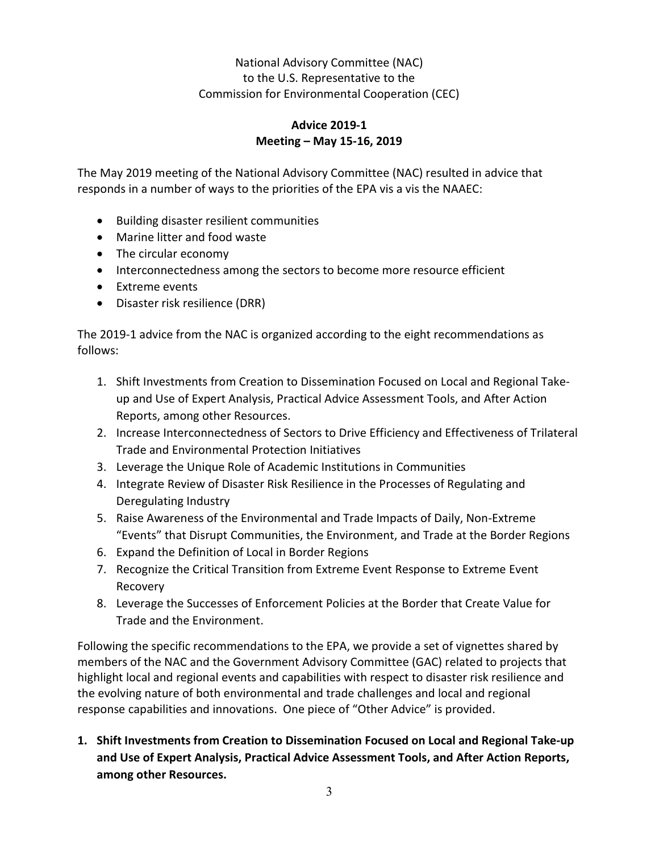## National Advisory Committee (NAC) to the U.S. Representative to the Commission for Environmental Cooperation (CEC)

## Advice 2019-1 Meeting – May 15-16, 2019

The May 2019 meeting of the National Advisory Committee (NAC) resulted in advice that responds in a number of ways to the priorities of the EPA vis a vis the NAAEC:

- Building disaster resilient communities
- Marine litter and food waste
- The circular economy
- Interconnectedness among the sectors to become more resource efficient
- Extreme events
- Disaster risk resilience (DRR)

The 2019-1 advice from the NAC is organized according to the eight recommendations as follows:

- 1. Shift Investments from Creation to Dissemination Focused on Local and Regional Takeup and Use of Expert Analysis, Practical Advice Assessment Tools, and After Action Reports, among other Resources.
- 2. Increase Interconnectedness of Sectors to Drive Efficiency and Effectiveness of Trilateral Trade and Environmental Protection Initiatives
- 3. Leverage the Unique Role of Academic Institutions in Communities
- 4. Integrate Review of Disaster Risk Resilience in the Processes of Regulating and Deregulating Industry
- 5. Raise Awareness of the Environmental and Trade Impacts of Daily, Non-Extreme "Events" that Disrupt Communities, the Environment, and Trade at the Border Regions
- 6. Expand the Definition of Local in Border Regions
- 7. Recognize the Critical Transition from Extreme Event Response to Extreme Event Recovery
- 8. Leverage the Successes of Enforcement Policies at the Border that Create Value for Trade and the Environment.

Following the specific recommendations to the EPA, we provide a set of vignettes shared by members of the NAC and the Government Advisory Committee (GAC) related to projects that highlight local and regional events and capabilities with respect to disaster risk resilience and the evolving nature of both environmental and trade challenges and local and regional response capabilities and innovations. One piece of "Other Advice" is provided.

1. Shift Investments from Creation to Dissemination Focused on Local and Regional Take-up and Use of Expert Analysis, Practical Advice Assessment Tools, and After Action Reports, among other Resources.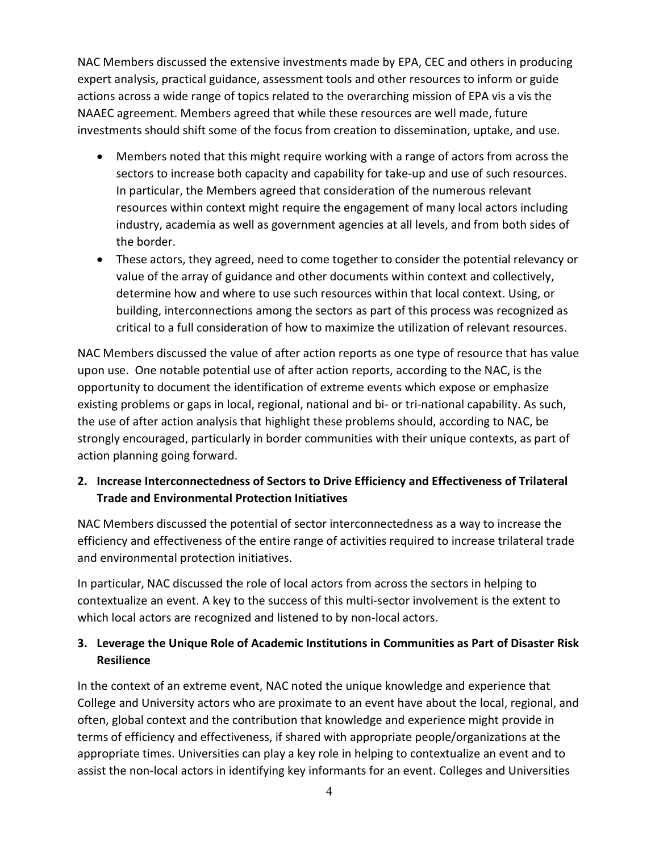NAC Members discussed the extensive investments made by EPA, CEC and others in producing expert analysis, practical guidance, assessment tools and other resources to inform or guide actions across a wide range of topics related to the overarching mission of EPA vis a vis the NAAEC agreement. Members agreed that while these resources are well made, future investments should shift some of the focus from creation to dissemination, uptake, and use.

- Members noted that this might require working with a range of actors from across the sectors to increase both capacity and capability for take-up and use of such resources. In particular, the Members agreed that consideration of the numerous relevant resources within context might require the engagement of many local actors including industry, academia as well as government agencies at all levels, and from both sides of the border.
- These actors, they agreed, need to come together to consider the potential relevancy or value of the array of guidance and other documents within context and collectively, determine how and where to use such resources within that local context. Using, or building, interconnections among the sectors as part of this process was recognized as critical to a full consideration of how to maximize the utilization of relevant resources.

NAC Members discussed the value of after action reports as one type of resource that has value upon use. One notable potential use of after action reports, according to the NAC, is the opportunity to document the identification of extreme events which expose or emphasize existing problems or gaps in local, regional, national and bi- or tri-national capability. As such, the use of after action analysis that highlight these problems should, according to NAC, be strongly encouraged, particularly in border communities with their unique contexts, as part of action planning going forward.

### 2. Increase Interconnectedness of Sectors to Drive Efficiency and Effectiveness of Trilateral Trade and Environmental Protection Initiatives

NAC Members discussed the potential of sector interconnectedness as a way to increase the efficiency and effectiveness of the entire range of activities required to increase trilateral trade and environmental protection initiatives.

In particular, NAC discussed the role of local actors from across the sectors in helping to contextualize an event. A key to the success of this multi-sector involvement is the extent to which local actors are recognized and listened to by non-local actors.

## 3. Leverage the Unique Role of Academic Institutions in Communities as Part of Disaster Risk Resilience

In the context of an extreme event, NAC noted the unique knowledge and experience that College and University actors who are proximate to an event have about the local, regional, and often, global context and the contribution that knowledge and experience might provide in terms of efficiency and effectiveness, if shared with appropriate people/organizations at the appropriate times. Universities can play a key role in helping to contextualize an event and to assist the non-local actors in identifying key informants for an event. Colleges and Universities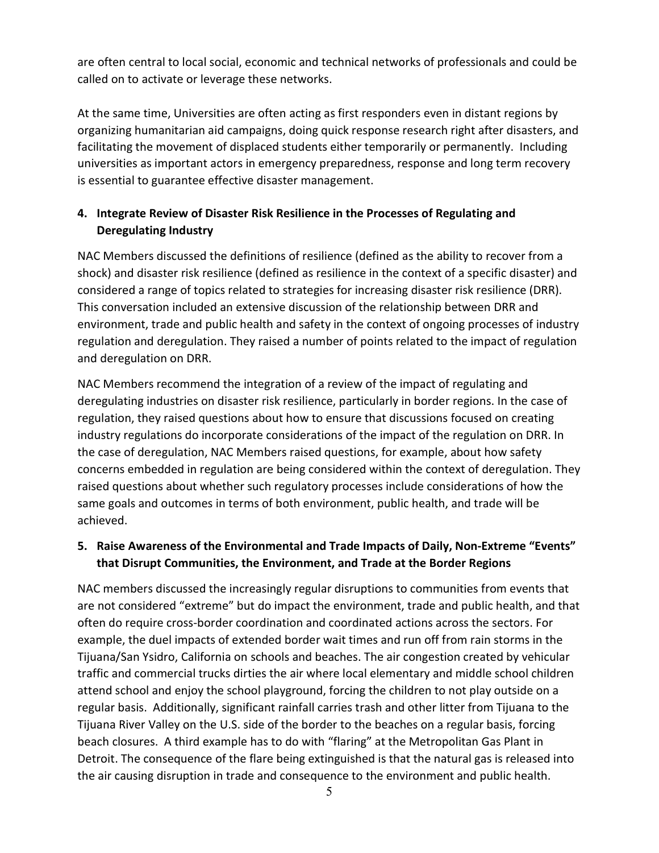are often central to local social, economic and technical networks of professionals and could be called on to activate or leverage these networks.

At the same time, Universities are often acting as first responders even in distant regions by organizing humanitarian aid campaigns, doing quick response research right after disasters, and facilitating the movement of displaced students either temporarily or permanently. Including universities as important actors in emergency preparedness, response and long term recovery is essential to guarantee effective disaster management.

# 4. Integrate Review of Disaster Risk Resilience in the Processes of Regulating and Deregulating Industry

NAC Members discussed the definitions of resilience (defined as the ability to recover from a shock) and disaster risk resilience (defined as resilience in the context of a specific disaster) and considered a range of topics related to strategies for increasing disaster risk resilience (DRR). This conversation included an extensive discussion of the relationship between DRR and environment, trade and public health and safety in the context of ongoing processes of industry regulation and deregulation. They raised a number of points related to the impact of regulation and deregulation on DRR.

NAC Members recommend the integration of a review of the impact of regulating and deregulating industries on disaster risk resilience, particularly in border regions. In the case of regulation, they raised questions about how to ensure that discussions focused on creating industry regulations do incorporate considerations of the impact of the regulation on DRR. In the case of deregulation, NAC Members raised questions, for example, about how safety concerns embedded in regulation are being considered within the context of deregulation. They raised questions about whether such regulatory processes include considerations of how the same goals and outcomes in terms of both environment, public health, and trade will be achieved.

## 5. Raise Awareness of the Environmental and Trade Impacts of Daily, Non-Extreme "Events" that Disrupt Communities, the Environment, and Trade at the Border Regions

NAC members discussed the increasingly regular disruptions to communities from events that are not considered "extreme" but do impact the environment, trade and public health, and that often do require cross-border coordination and coordinated actions across the sectors. For example, the duel impacts of extended border wait times and run off from rain storms in the Tijuana/San Ysidro, California on schools and beaches. The air congestion created by vehicular traffic and commercial trucks dirties the air where local elementary and middle school children attend school and enjoy the school playground, forcing the children to not play outside on a regular basis. Additionally, significant rainfall carries trash and other litter from Tijuana to the Tijuana River Valley on the U.S. side of the border to the beaches on a regular basis, forcing beach closures. A third example has to do with "flaring" at the Metropolitan Gas Plant in Detroit. The consequence of the flare being extinguished is that the natural gas is released into the air causing disruption in trade and consequence to the environment and public health.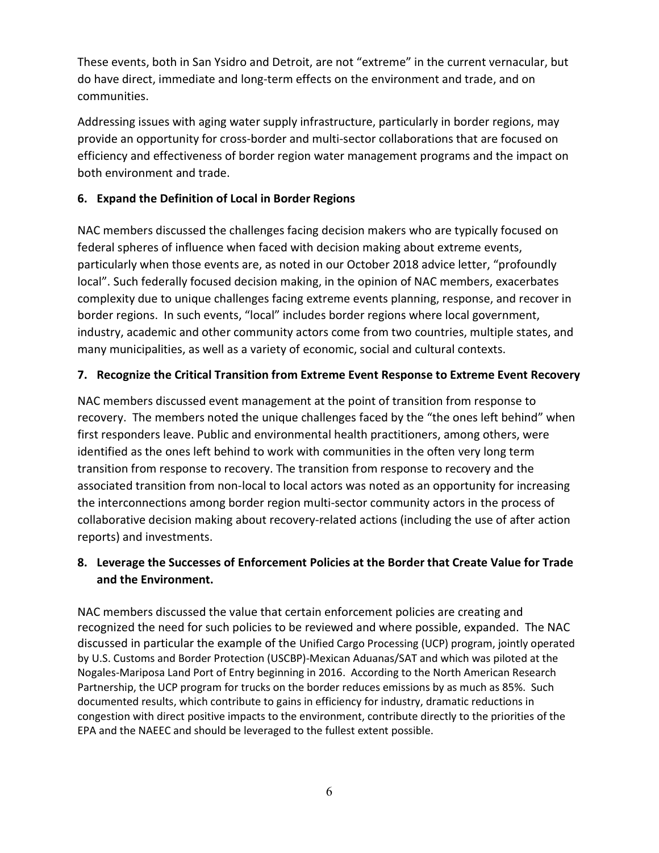These events, both in San Ysidro and Detroit, are not "extreme" in the current vernacular, but do have direct, immediate and long-term effects on the environment and trade, and on communities.

Addressing issues with aging water supply infrastructure, particularly in border regions, may provide an opportunity for cross-border and multi-sector collaborations that are focused on efficiency and effectiveness of border region water management programs and the impact on both environment and trade.

## 6. Expand the Definition of Local in Border Regions

NAC members discussed the challenges facing decision makers who are typically focused on federal spheres of influence when faced with decision making about extreme events, particularly when those events are, as noted in our October 2018 advice letter, "profoundly local". Such federally focused decision making, in the opinion of NAC members, exacerbates complexity due to unique challenges facing extreme events planning, response, and recover in border regions. In such events, "local" includes border regions where local government, industry, academic and other community actors come from two countries, multiple states, and many municipalities, as well as a variety of economic, social and cultural contexts.

## 7. Recognize the Critical Transition from Extreme Event Response to Extreme Event Recovery

NAC members discussed event management at the point of transition from response to recovery. The members noted the unique challenges faced by the "the ones left behind" when first responders leave. Public and environmental health practitioners, among others, were identified as the ones left behind to work with communities in the often very long term transition from response to recovery. The transition from response to recovery and the associated transition from non-local to local actors was noted as an opportunity for increasing the interconnections among border region multi-sector community actors in the process of collaborative decision making about recovery-related actions (including the use of after action reports) and investments.

# 8. Leverage the Successes of Enforcement Policies at the Border that Create Value for Trade and the Environment.

NAC members discussed the value that certain enforcement policies are creating and recognized the need for such policies to be reviewed and where possible, expanded. The NAC discussed in particular the example of the Unified Cargo Processing (UCP) program, jointly operated by U.S. Customs and Border Protection (USCBP)-Mexican Aduanas/SAT and which was piloted at the Nogales-Mariposa Land Port of Entry beginning in 2016. According to the North American Research Partnership, the UCP program for trucks on the border reduces emissions by as much as 85%. Such documented results, which contribute to gains in efficiency for industry, dramatic reductions in congestion with direct positive impacts to the environment, contribute directly to the priorities of the EPA and the NAEEC and should be leveraged to the fullest extent possible.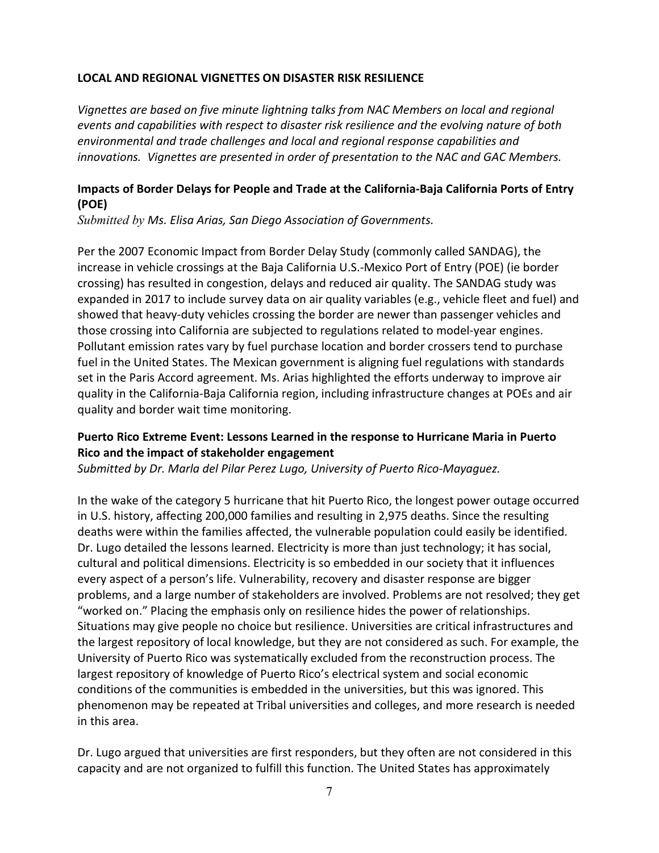#### LOCAL AND REGIONAL VIGNETTES ON DISASTER RISK RESILIENCE

Vignettes are based on five minute lightning talks from NAC Members on local and regional events and capabilities with respect to disaster risk resilience and the evolving nature of both environmental and trade challenges and local and regional response capabilities and innovations. Vignettes are presented in order of presentation to the NAC and GAC Members.

### Impacts of Border Delays for People and Trade at the California-Baja California Ports of Entry (POE)

Submitted by Ms. Elisa Arias, San Diego Association of Governments.

Per the 2007 Economic Impact from Border Delay Study (commonly called SANDAG), the increase in vehicle crossings at the Baja California U.S.-Mexico Port of Entry (POE) (ie border crossing) has resulted in congestion, delays and reduced air quality. The SANDAG study was expanded in 2017 to include survey data on air quality variables (e.g., vehicle fleet and fuel) and showed that heavy-duty vehicles crossing the border are newer than passenger vehicles and those crossing into California are subjected to regulations related to model-year engines. Pollutant emission rates vary by fuel purchase location and border crossers tend to purchase fuel in the United States. The Mexican government is aligning fuel regulations with standards set in the Paris Accord agreement. Ms. Arias highlighted the efforts underway to improve air quality in the California-Baja California region, including infrastructure changes at POEs and air quality and border wait time monitoring.

### Puerto Rico Extreme Event: Lessons Learned in the response to Hurricane Maria in Puerto Rico and the impact of stakeholder engagement

Submitted by Dr. Marla del Pilar Perez Lugo, University of Puerto Rico-Mayaguez.

In the wake of the category 5 hurricane that hit Puerto Rico, the longest power outage occurred in U.S. history, affecting 200,000 families and resulting in 2,975 deaths. Since the resulting deaths were within the families affected, the vulnerable population could easily be identified. Dr. Lugo detailed the lessons learned. Electricity is more than just technology; it has social, cultural and political dimensions. Electricity is so embedded in our society that it influences every aspect of a person's life. Vulnerability, recovery and disaster response are bigger problems, and a large number of stakeholders are involved. Problems are not resolved; they get "worked on." Placing the emphasis only on resilience hides the power of relationships. Situations may give people no choice but resilience. Universities are critical infrastructures and the largest repository of local knowledge, but they are not considered as such. For example, the University of Puerto Rico was systematically excluded from the reconstruction process. The largest repository of knowledge of Puerto Rico's electrical system and social economic conditions of the communities is embedded in the universities, but this was ignored. This phenomenon may be repeated at Tribal universities and colleges, and more research is needed in this area.

Dr. Lugo argued that universities are first responders, but they often are not considered in this capacity and are not organized to fulfill this function. The United States has approximately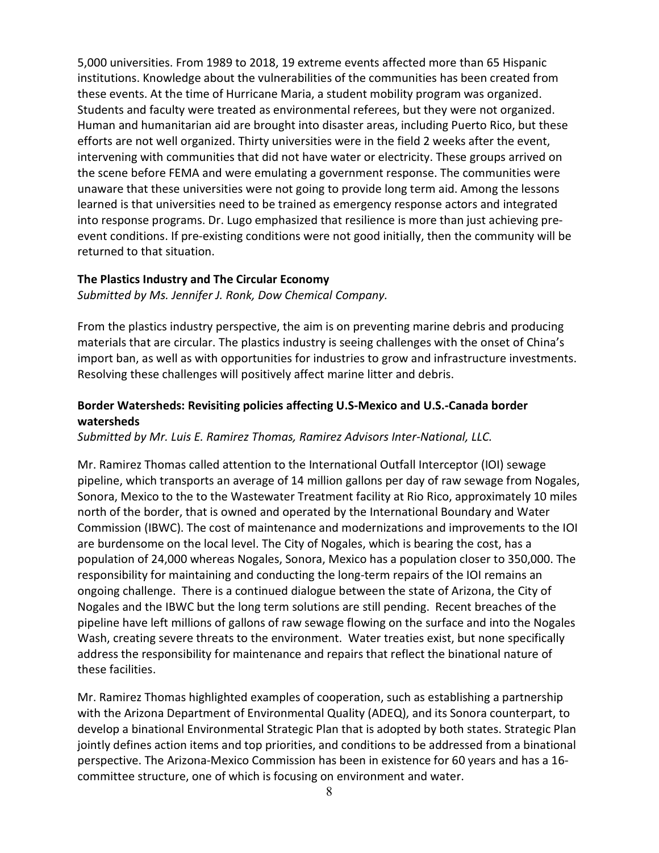5,000 universities. From 1989 to 2018, 19 extreme events affected more than 65 Hispanic institutions. Knowledge about the vulnerabilities of the communities has been created from these events. At the time of Hurricane Maria, a student mobility program was organized. Students and faculty were treated as environmental referees, but they were not organized. Human and humanitarian aid are brought into disaster areas, including Puerto Rico, but these efforts are not well organized. Thirty universities were in the field 2 weeks after the event, intervening with communities that did not have water or electricity. These groups arrived on the scene before FEMA and were emulating a government response. The communities were unaware that these universities were not going to provide long term aid. Among the lessons learned is that universities need to be trained as emergency response actors and integrated into response programs. Dr. Lugo emphasized that resilience is more than just achieving preevent conditions. If pre-existing conditions were not good initially, then the community will be returned to that situation.

#### The Plastics Industry and The Circular Economy

Submitted by Ms. Jennifer J. Ronk, Dow Chemical Company.

From the plastics industry perspective, the aim is on preventing marine debris and producing materials that are circular. The plastics industry is seeing challenges with the onset of China's import ban, as well as with opportunities for industries to grow and infrastructure investments. Resolving these challenges will positively affect marine litter and debris.

### Border Watersheds: Revisiting policies affecting U.S-Mexico and U.S.-Canada border watersheds

Submitted by Mr. Luis E. Ramirez Thomas, Ramirez Advisors Inter-National, LLC.

Mr. Ramirez Thomas called attention to the International Outfall Interceptor (IOI) sewage pipeline, which transports an average of 14 million gallons per day of raw sewage from Nogales, Sonora, Mexico to the to the Wastewater Treatment facility at Rio Rico, approximately 10 miles north of the border, that is owned and operated by the International Boundary and Water Commission (IBWC). The cost of maintenance and modernizations and improvements to the IOI are burdensome on the local level. The City of Nogales, which is bearing the cost, has a population of 24,000 whereas Nogales, Sonora, Mexico has a population closer to 350,000. The responsibility for maintaining and conducting the long-term repairs of the IOI remains an ongoing challenge. There is a continued dialogue between the state of Arizona, the City of Nogales and the IBWC but the long term solutions are still pending. Recent breaches of the pipeline have left millions of gallons of raw sewage flowing on the surface and into the Nogales Wash, creating severe threats to the environment. Water treaties exist, but none specifically address the responsibility for maintenance and repairs that reflect the binational nature of these facilities.

Mr. Ramirez Thomas highlighted examples of cooperation, such as establishing a partnership with the Arizona Department of Environmental Quality (ADEQ), and its Sonora counterpart, to develop a binational Environmental Strategic Plan that is adopted by both states. Strategic Plan jointly defines action items and top priorities, and conditions to be addressed from a binational perspective. The Arizona-Mexico Commission has been in existence for 60 years and has a 16 committee structure, one of which is focusing on environment and water.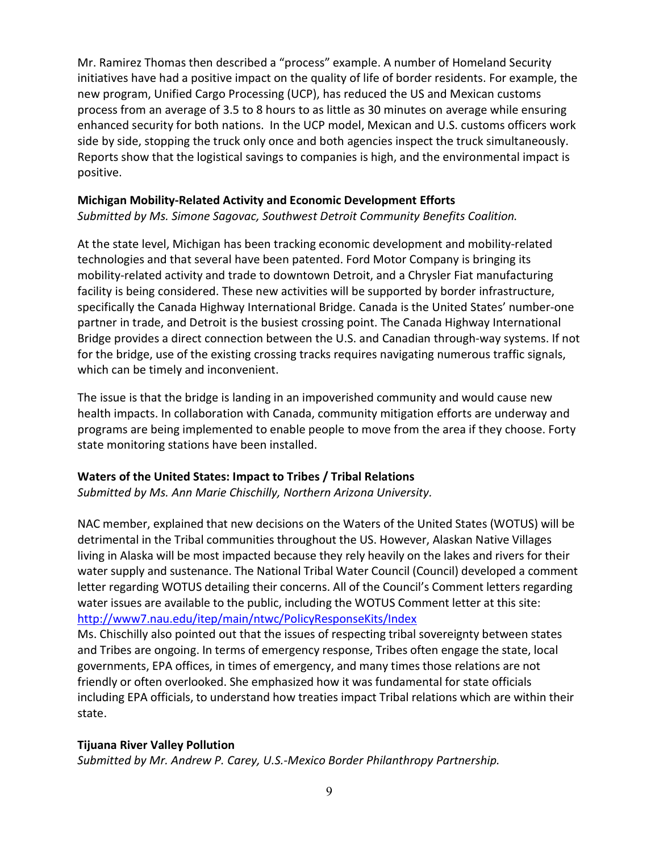Mr. Ramirez Thomas then described a "process" example. A number of Homeland Security initiatives have had a positive impact on the quality of life of border residents. For example, the new program, Unified Cargo Processing (UCP), has reduced the US and Mexican customs process from an average of 3.5 to 8 hours to as little as 30 minutes on average while ensuring enhanced security for both nations. In the UCP model, Mexican and U.S. customs officers work side by side, stopping the truck only once and both agencies inspect the truck simultaneously. Reports show that the logistical savings to companies is high, and the environmental impact is positive.

#### Michigan Mobility-Related Activity and Economic Development Efforts

Submitted by Ms. Simone Sagovac, Southwest Detroit Community Benefits Coalition.

At the state level, Michigan has been tracking economic development and mobility-related technologies and that several have been patented. Ford Motor Company is bringing its mobility-related activity and trade to downtown Detroit, and a Chrysler Fiat manufacturing facility is being considered. These new activities will be supported by border infrastructure, specifically the Canada Highway International Bridge. Canada is the United States' number-one partner in trade, and Detroit is the busiest crossing point. The Canada Highway International Bridge provides a direct connection between the U.S. and Canadian through-way systems. If not for the bridge, use of the existing crossing tracks requires navigating numerous traffic signals, which can be timely and inconvenient.

The issue is that the bridge is landing in an impoverished community and would cause new health impacts. In collaboration with Canada, community mitigation efforts are underway and programs are being implemented to enable people to move from the area if they choose. Forty state monitoring stations have been installed.

#### Waters of the United States: Impact to Tribes / Tribal Relations

Submitted by Ms. Ann Marie Chischilly, Northern Arizona University.

NAC member, explained that new decisions on the Waters of the United States (WOTUS) will be detrimental in the Tribal communities throughout the US. However, Alaskan Native Villages living in Alaska will be most impacted because they rely heavily on the lakes and rivers for their water supply and sustenance. The National Tribal Water Council (Council) developed a comment letter regarding WOTUS detailing their concerns. All of the Council's Comment letters regarding water issues are available to the public, including the WOTUS Comment letter at this site: http://www7.nau.edu/itep/main/ntwc/PolicyResponseKits/Index

Ms. Chischilly also pointed out that the issues of respecting tribal sovereignty between states and Tribes are ongoing. In terms of emergency response, Tribes often engage the state, local governments, EPA offices, in times of emergency, and many times those relations are not friendly or often overlooked. She emphasized how it was fundamental for state officials including EPA officials, to understand how treaties impact Tribal relations which are within their state.

#### Tijuana River Valley Pollution

Submitted by Mr. Andrew P. Carey, U.S.-Mexico Border Philanthropy Partnership.